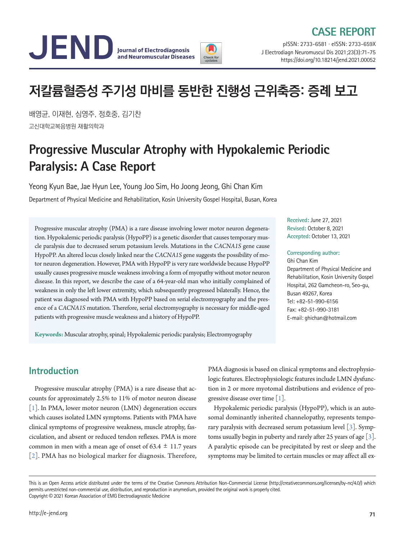## **CASE REPORT**



pISSN: 2733-6581 ∙ eISSN: 2733-659X J Electrodiagn Neuromuscul Dis 2021;23(3):71-75 https://doi.org/10.18214/jend.2021.00052

# **저칼륨혈증성 주기성 마비를 동반한 진행성 근위축증: 증례 보고**

배영균, 이재현, 심영주, 정호중, 김기찬 고신대학교복음병원 재활의학과

## **Progressive Muscular Atrophy with Hypokalemic Periodic Paralysis: A Case Report**

Yeong Kyun Bae, Jae Hyun Lee, Young Joo Sim, Ho Joong Jeong, Ghi Chan Kim Department of Physical Medicine and Rehabilitation, Kosin University Gospel Hospital, Busan, Korea

Progressive muscular atrophy (PMA) is a rare disease involving lower motor neuron degeneration. Hypokalemic periodic paralysis (HypoPP) is a genetic disorder that causes temporary muscle paralysis due to decreased serum potassium levels. Mutations in the *CACNA1S* gene cause HypoPP. An altered locus closely linked near the *CACNA1S* gene suggests the possibility of motor neuron degeneration. However, PMA with HypoPP is very rare worldwide because HypoPP usually causes progressive muscle weakness involving a form of myopathy without motor neuron disease. In this report, we describe the case of a 64-year-old man who initially complained of weakness in only the left lower extremity, which subsequently progressed bilaterally. Hence, the patient was diagnosed with PMA with HypoPP based on serial electromyography and the presence of a *CACNA1S* mutation. Therefore, serial electromyography is necessary for middle-aged patients with progressive muscle weakness and a history of HypoPP.

**Keywords:** Muscular atrophy, spinal; Hypokalemic periodic paralysis; Electromyography

**Received:** June 27, 2021 **Revised:** October 8, 2021 **Accepted:** October 13, 2021

#### **Corresponding author:**

Ghi Chan Kim Department of Physical Medicine and Rehabilitation, Kosin University Gospel Hospital, 262 Gamcheon-ro, Seo-gu, Busan 49267, Korea Tel: +82-51-990-6156 Fax: +82-51-990-3181 E-mail: ghichan@hotmail.com

## **Introduction**

Progressive muscular atrophy (PMA) is a rare disease that accounts for approximately 2.5% to 11% of motor neuron disease [\[1](#page-4-0)]. In PMA, lower motor neuron (LMN) degeneration occurs which causes isolated LMN symptoms. Patients with PMA have clinical symptoms of progressive weakness, muscle atrophy, fasciculation, and absent or reduced tendon reflexes. PMA is more common in men with a mean age of onset of  $63.4 \pm 11.7$  years [[2\]](#page-4-1). PMA has no biological marker for diagnosis. Therefore,

PMA diagnosis is based on clinical symptoms and electrophysiologic features. Electrophysiologic features include LMN dysfunction in 2 or more myotomal distributions and evidence of progressive disease over time [\[1\]](#page-4-0).

Hypokalemic periodic paralysis (HypoPP), which is an autosomal dominantly inherited channelopathy, represents temporary paralysis with decreased serum potassium level [[3\]](#page-4-2). Symptoms usually begin in puberty and rarely after 25 years of age [[3\]](#page-4-2). A paralytic episode can be precipitated by rest or sleep and the symptoms may be limited to certain muscles or may affect all ex-

This is an Open Access article distributed under the terms of the Creative Commons Attribution Non-Commercial License (http://creativecommons.org/licenses/by-nc/4.0/) which permits unrestricted non-commercial use, distribution, and reproduction in anymedium, provided the original work is properly cited. Copyright © 2021 Korean Association of EMG Electrodiagnostic Medicine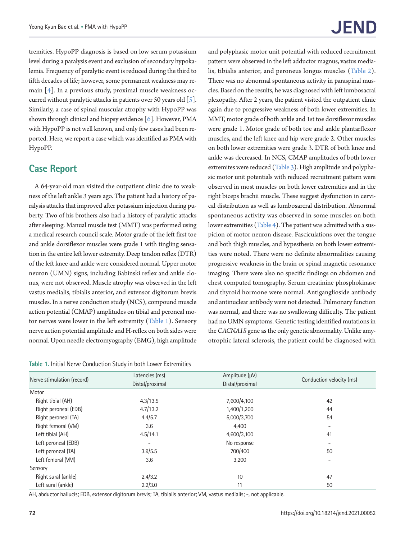tremities. HypoPP diagnosis is based on low serum potassium level during a paralysis event and exclusion of secondary hypokalemia. Frequency of paralytic event is reduced during the third to fifth decades of life; however, some permanent weakness may remain [[4\]](#page-4-3). In a previous study, proximal muscle weakness occurred without paralytic attacks in patients over 50 years old  $\lceil 5 \rceil$ . Similarly, a case of spinal muscular atrophy with HypoPP was shown through clinical and biopsy evidence  $[6]$  $[6]$ . However, PMA with HypoPP is not well known, and only few cases had been reported. Here, we report a case which was identified as PMA with HypoPP.

## **Case Report**

A 64-year-old man visited the outpatient clinic due to weakness of the left ankle 3 years ago. The patient had a history of paralysis attacks that improved after potassium injection during puberty. Two of his brothers also had a history of paralytic attacks after sleeping. Manual muscle test (MMT) was performed using a medical research council scale. Motor grade of the left first toe and ankle dorsiflexor muscles were grade 1 with tingling sensation in the entire left lower extremity. Deep tendon reflex (DTR) of the left knee and ankle were considered normal. Upper motor neuron (UMN) signs, including Babinski reflex and ankle clonus, were not observed. Muscle atrophy was observed in the left vastus medialis, tibialis anterior, and extensor digitorum brevis muscles. In a nerve conduction study (NCS), compound muscle action potential (CMAP) amplitudes on tibial and peroneal motor nerves were lower in the left extremity [\(Table 1](#page-1-0)). Sensory nerve action potential amplitude and H-reflex on both sides were normal. Upon needle electromyography (EMG), high amplitude

<span id="page-1-0"></span>**Table 1.** Initial Nerve Conduction Study in both Lower Extremities

and polyphasic motor unit potential with reduced recruitment pattern were observed in the left adductor magnus, vastus medialis, tibialis anterior, and peroneus longus muscles [\(Table 2](#page-2-0)). There was no abnormal spontaneous activity in paraspinal muscles. Based on the results, he was diagnosed with left lumbosacral plexopathy. After 2 years, the patient visited the outpatient clinic again due to progressive weakness of both lower extremities. In MMT, motor grade of both ankle and 1st toe dorsiflexor muscles were grade 1. Motor grade of both toe and ankle plantarflexor muscles, and the left knee and hip were grade 2. Other muscles on both lower extremities were grade 3. DTR of both knee and ankle was decreased. In NCS, CMAP amplitudes of both lower extremites were reduced [\(Table 3](#page-2-1)). High amplitude and polyphasic motor unit potentials with reduced recruitment pattern were observed in most muscles on both lower extremities and in the right biceps brachii muscle. These suggest dysfunction in cervical distribution as well as lumbosarcral distribution. Abnormal spontaneous activity was observed in some muscles on both lower extremities [\(Table 4\)](#page-3-0). The patient was admitted with a suspicion of motor neuron disease. Fasciculations over the tongue and both thigh muscles, and hypesthesia on both lower extremities were noted. There were no definite abnormalities causing progressive weakness in the brain or spinal magnetic resonance imaging. There were also no specific findings on abdomen and chest computed tomography. Serum creatinine phosphokinase and thyroid hormone were normal. Antiganglioside antibody and antinuclear antibody were not detected. Pulmonary function was normal, and there was no swallowing difficulty. The patient had no UMN symptoms. Genetic testing identified mutations in the *CACNA1S* gene as the only genetic abnormality. Unlike amyotrophic lateral sclerosis, the patient could be diagnosed with

|                            | Latencies (ms)  | Amplitude $(\mu V)$ | Conduction velocity (ms) |  |
|----------------------------|-----------------|---------------------|--------------------------|--|
| Nerve stimulation (record) | Distal/proximal | Distal/proximal     |                          |  |
| Motor                      |                 |                     |                          |  |
| Right tibial (AH)          | 4.3/13.5        | 7,600/4,100         | 42                       |  |
| Right peroneal (EDB)       | 4.7/13.2        | 1,400/1,200         | 44                       |  |
| Right peroneal (TA)        | 4.4/5.7         | 5,000/3,700         | 54                       |  |
| Right femoral (VM)         | 3.6             |                     |                          |  |
| Left tibial (AH)           | 4.5/14.1        | 4,600/3,100         | 41                       |  |
| Left peroneal (EDB)        | -               | No response         |                          |  |
| Left peroneal (TA)         | 3.9/5.5         | 700/400             | 50                       |  |
| Left femoral (VM)          | 3.6             |                     |                          |  |
| Sensory                    |                 |                     |                          |  |
| Right sural (ankle)        | 2.4/3.2         | 10                  | 47                       |  |
| Left sural (ankle)         | 2.2/3.0         | 11                  | 50                       |  |

AH, abductor hallucis; EDB, extensor digitorum brevis; TA, tibialis anterior; VM, vastus medialis; -, not applicable.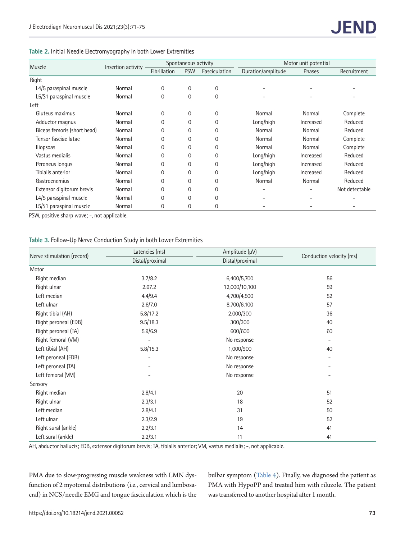#### <span id="page-2-0"></span>**Table 2.** Initial Needle Electromyography in both Lower Extremities

| Muscle                      | Insertion activity | Spontaneous activity |                |                | Motor unit potential |           |                |
|-----------------------------|--------------------|----------------------|----------------|----------------|----------------------|-----------|----------------|
|                             |                    | Fibrillation         | <b>PSW</b>     | Fasciculation  | Duration/amplitude   | Phases    | Recruitment    |
| Right                       |                    |                      |                |                |                      |           |                |
| L4/5 paraspinal muscle      | Normal             | 0                    | $\mathbf 0$    | $\overline{0}$ |                      |           |                |
| L5/S1 paraspinal muscle     | Normal             | $\Omega$             | $\mathbf 0$    | $\overline{0}$ |                      |           |                |
| Left                        |                    |                      |                |                |                      |           |                |
| Gluteus maximus             | Normal             | $\mathbf 0$          | $\mathbf 0$    | 0              | Normal               | Normal    | Complete       |
| Adductor magnus             | Normal             | 0                    | 0              | $\overline{0}$ | Long/high            | Increased | Reduced        |
| Biceps femoris (short head) | Normal             | 0                    | 0              | $\mathbf 0$    | Normal               | Normal    | Reduced        |
| Tensor fasciae latae        | Normal             | 0                    | $\overline{0}$ | $\overline{0}$ | Normal               | Normal    | Complete       |
| <b>Iliopsoas</b>            | Normal             | 0                    | $\overline{0}$ | $\overline{0}$ | Normal               | Normal    | Complete       |
| Vastus medialis             | Normal             | $\Omega$             | $\overline{0}$ | $\overline{0}$ | Long/high            | Increased | Reduced        |
| Peroneus longus             | Normal             | 0                    | $\overline{0}$ | $\overline{0}$ | Long/high            | Increased | Reduced        |
| Tibialis anterior           | Normal             | 0                    | $\overline{0}$ | $\overline{0}$ | Long/high            | Increased | Reduced        |
| Gastrocnemius               | Normal             | 0                    | $\overline{0}$ | $\mathbf 0$    | Normal               | Normal    | Reduced        |
| Extensor digitorum brevis   | Normal             | 0                    | $\overline{0}$ | $\mathbf 0$    |                      |           | Not detectable |
| L4/5 paraspinal muscle      | Normal             | $\Omega$             | $\Omega$       | $\Omega$       |                      |           |                |
| L5/S1 paraspinal muscle     | Normal             | 0                    | 0              | $\mathbf 0$    |                      |           |                |

PSW, positive sharp wave; -, not applicable.

#### <span id="page-2-1"></span>**Table 3.** Follow-Up Nerve Conduction Study in both Lower Extremities

|                            | Latencies (ms)  | Amplitude (µV)  |                          |  |  |
|----------------------------|-----------------|-----------------|--------------------------|--|--|
| Nerve stimulation (record) | Distal/proximal | Distal/proximal | Conduction velocity (ms) |  |  |
| Motor                      |                 |                 |                          |  |  |
| Right median               | 3.7/8.2         | 6,400/5,700     | 56                       |  |  |
| Right ulnar                | 2.67.2          | 12,000/10,100   | 59                       |  |  |
| Left median                | 4.4/9.4         | 4,700/4,500     | 52                       |  |  |
| Left ulnar                 | 2.6/7.0         | 8,700/6,100     | 57                       |  |  |
| Right tibial (AH)          | 5.8/17.2        | 2,000/300       | 36                       |  |  |
| Right peroneal (EDB)       | 9.5/18.3        | 300/300         | 40                       |  |  |
| Right peroneal (TA)        | 5.9/6.9         | 600/600         | 60                       |  |  |
| Right femoral (VM)         |                 | No response     | $\overline{\phantom{a}}$ |  |  |
| Left tibial (AH)           | 5.8/15.3        | 1,000/900       | 40                       |  |  |
| Left peroneal (EDB)        |                 | No response     | $\overline{\phantom{a}}$ |  |  |
| Left peroneal (TA)         |                 | No response     |                          |  |  |
| Left femoral (VM)          |                 | No response     |                          |  |  |
| Sensory                    |                 |                 |                          |  |  |
| Right median               | 2.8/4.1         | 20              | 51                       |  |  |
| Right ulnar                | 2.3/3.1         | 18              | 52                       |  |  |
| Left median                | 2.8/4.1         | 31              | 50                       |  |  |
| Left ulnar                 | 2.3/2.9         | 19              | 52                       |  |  |
| Right sural (ankle)        | 2.2/3.1         | 14              | 41                       |  |  |
| Left sural (ankle)         | 2.2/3.1<br>11   |                 | 41                       |  |  |

AH, abductor hallucis; EDB, extensor digitorum brevis; TA, tibialis anterior; VM, vastus medialis; -, not applicable.

PMA due to slow-progressing muscle weakness with LMN dysfunction of 2 myotomal distributions (i.e., cervical and lumbosacral) in NCS/needle EMG and tongue fasciculation which is the bulbar symptom [\(Table 4](#page-3-0)). Finally, we diagnosed the patient as PMA with HypoPP and treated him with riluzole. The patient was transferred to another hospital after 1 month.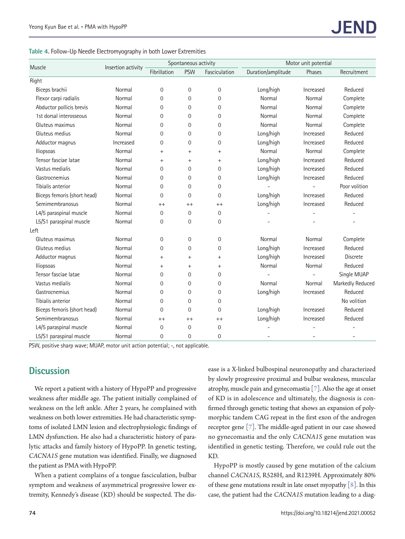<span id="page-3-0"></span>

|  |  |  | Table 4. Follow-Up Needle Electromyography in both Lower Extremities |  |  |  |  |
|--|--|--|----------------------------------------------------------------------|--|--|--|--|
|--|--|--|----------------------------------------------------------------------|--|--|--|--|

|                             | Insertion activity | Spontaneous activity |                |                | Motor unit potential |           |                  |
|-----------------------------|--------------------|----------------------|----------------|----------------|----------------------|-----------|------------------|
| Muscle                      |                    | Fibrillation         | <b>PSW</b>     | Fasciculation  | Duration/amplitude   | Phases    | Recruitment      |
| Right                       |                    |                      |                |                |                      |           |                  |
| Biceps brachii              | Normal             | 0                    | 0              | $\mathbf 0$    | Long/high            | Increased | Reduced          |
| Flexor carpi radialis       | Normal             | $\Omega$             | 0              | $\Omega$       | Normal               | Normal    | Complete         |
| Abductor pollicis brevis    | Normal             | $\mathbf 0$          | 0              | $\mathbf 0$    | Normal               | Normal    | Complete         |
| 1st dorsal interosseous     | Normal             | $\Omega$             | $\Omega$       | $\Omega$       | Normal               | Normal    | Complete         |
| Gluteus maximus             | Normal             | $\Omega$             | $\Omega$       | $\mathbf{0}$   | Normal               | Normal    | Complete         |
| Gluteus medius              | Normal             | 0                    | 0              | $\mathbf 0$    | Long/high            | Increased | Reduced          |
| Adductor magnus             | Increased          | $\mathbf 0$          | $\overline{0}$ | $\mathbf 0$    | Long/high            | Increased | Reduced          |
| lliopsoas                   | Normal             | $+$                  | $+$            | $+$            | Normal               | Normal    | Complete         |
| Tensor fasciae latae        | Normal             | $^{+}$               | $\ddot{}$      | $^{+}$         | Long/high            | Increased | Reduced          |
| Vastus medialis             | Normal             | $\Omega$             | 0              | $\Omega$       | Long/high            | Increased | Reduced          |
| Gastrocnemius               | Normal             | $\Omega$             | $\Omega$       | $\Omega$       | Long/high            | Increased | Reduced          |
| Tibialis anterior           | Normal             | $\mathbf 0$          | 0              | $\overline{0}$ |                      |           | Poor volition    |
| Biceps femoris (short head) | Normal             | $\mathbf{0}$         | 0              | $\mathbf 0$    | Long/high            | Increased | Reduced          |
| Semimembranosus             | Normal             | $^{++}$              | $^{++}$        | $^{++}$        | Long/high            | Increased | Reduced          |
| L4/5 paraspinal muscle      | Normal             | 0                    | 0              | $\mathbf{0}$   |                      |           |                  |
| L5/S1 paraspinal muscle     | Normal             | $\mathbf 0$          | 0              | 0              |                      |           |                  |
| Left                        |                    |                      |                |                |                      |           |                  |
| Gluteus maximus             | Normal             | 0                    | 0              | $\mathbf 0$    | Normal               | Normal    | Complete         |
| Gluteus medius              | Normal             | 0                    | 0              | $\overline{0}$ | Long/high            | Increased | Reduced          |
| Adductor magnus             | Normal             | $\ddot{}$            | $\ddot{}$      | $\ddot{}$      | Long/high            | Increased | <b>Discrete</b>  |
| lliopsoas                   | Normal             | $^{+}$               | $^{+}$         | $^{+}$         | Normal               | Normal    | Reduced          |
| Tensor fasciae latae        | Normal             | 0                    | 0              | 0              |                      |           | Single MUAP      |
| Vastus medialis             | Normal             | 0                    | 0              | $\mathbf 0$    | Normal               | Normal    | Markedly Reduced |
| Gastrocnemius               | Normal             | 0                    | 0              | $\mathbf 0$    | Long/high            | Increased | Reduced          |
| Tibialis anterior           | Normal             | 0                    | $\overline{0}$ | $\overline{0}$ |                      |           | No volition      |
| Biceps femoris (short head) | Normal             | 0                    | 0              | $\mathbf 0$    | Long/high            | Increased | Reduced          |
| Semimembranosus             | Normal             | $^{++}$              | $^{++}$        | $^{++}$        | Long/high            | Increased | Reduced          |
| L4/5 paraspinal muscle      | Normal             | $\mathbf 0$          | 0              | $\overline{0}$ |                      |           |                  |
| L5/S1 paraspinal muscle     | Normal             | $\overline{0}$       | 0              | $\Omega$       |                      |           |                  |

PSW, positive sharp wave; MUAP, motor unit action potential; -, not applicable.

## **Discussion**

We report a patient with a history of HypoPP and progressive weakness after middle age. The patient initially complained of weakness on the left ankle. After 2 years, he complained with weakness on both lower extremities. He had characteristic symptoms of isolated LMN lesion and electrophysiologic findings of LMN dysfunction. He also had a characteristic history of paralytic attacks and family history of HypoPP. In genetic testing, *CACNA1S* gene mutation was identified. Finally, we diagnosed the patient as PMA with HypoPP.

When a patient complains of a tongue fasciculation, bulbar symptom and weakness of asymmetrical progressive lower extremity, Kennedy's disease (KD) should be suspected. The disease is a X-linked bulbospinal neuronopathy and characterized by slowly progressive proximal and bulbar weakness, muscular atrophy, muscle pain and gynecomastia [[7\]](#page-4-2). Also the age at onset of KD is in adolescence and ultimately, the diagnosis is confirmed through genetic testing that shows an expansion of polymorphic tandem CAG repeat in the first exon of the androgen receptor gene [[7\]](#page-4-2). The middle-aged patient in our case showed no gynecomastia and the only *CACNA1S* gene mutation was identified in genetic testing. Therefore, we could rule out the KD.

HypoPP is mostly caused by gene mutation of the calcium channel *CACNA1S*, R528H, and R1239H. Approximately 80% of these gene mutations result in late onset myopathy [\[8](#page-4-6)]. In this case, the patient had the *CACNA1S* mutation leading to a diag